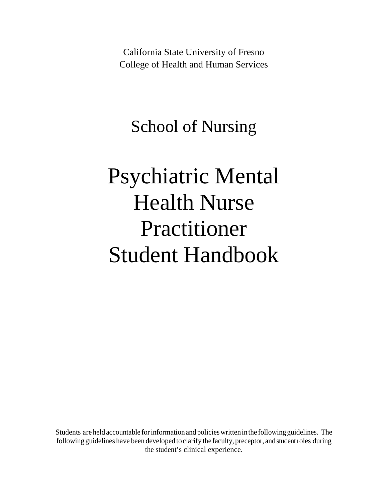California State University of Fresno College of Health and Human Services

School of Nursing

# Psychiatric Mental Health Nurse Practitioner Student Handbook

Students are held accountable for information and policies written in the following guidelines. The following guidelines have been developed to clarify the faculty, preceptor, and student roles during the student's clinical experience.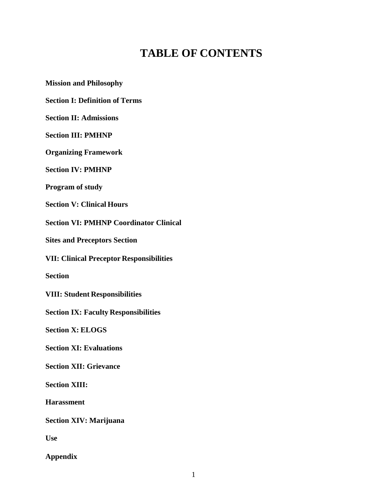# **TABLE OF CONTENTS**

**Mission and Philosophy Section I: Definition of Terms Section II: Admissions Section III: PMHNP Organizing Framework Section IV: PMHNP Program of study Section V: Clinical Hours Section VI: PMHNP Coordinator Clinical Sites and Preceptors Section VII: Clinical Preceptor Responsibilities Section VIII: Student Responsibilities Section IX: Faculty Responsibilities Section X: ELOGS Section XI: Evaluations Section XII: Grievance Section XIII: Harassment Section XIV: Marijuana Use Appendix**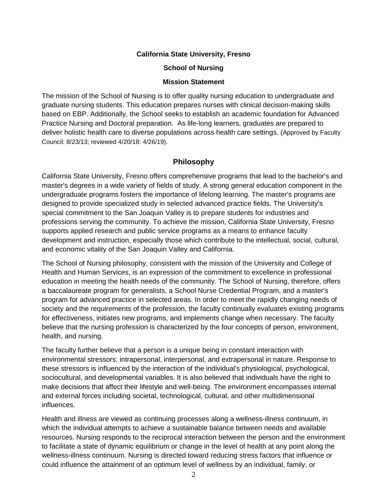#### **California State University, Fresno**

#### **School of Nursing**

#### **Mission Statement**

The mission of the School of Nursing is to offer quality nursing education to undergraduate and graduate nursing students. This education prepares nurses with clinical decision-making skills based on EBP. Additionally, the School seeks to establish an academic foundation for Advanced Practice Nursing and Doctoral preparation. As life-long learners, graduates are prepared to deliver holistic health care to diverse populations across health care settings. (Approved by Faculty Council: 8/23/13; reviewed 4/20/18: 4/26/19).

#### **Philosophy**

California State University, Fresno offers comprehensive programs that lead to the bachelor's and master's degrees in a wide variety of fields of study. A strong general education component in the undergraduate programs fosters the importance of lifelong learning. The master's programs are designed to provide specialized study in selected advanced practice fields. The University's special commitment to the San Joaquin Valley is to prepare students for industries and professions serving the community. To achieve the mission, California State University, Fresno supports applied research and public service programs as a means to enhance faculty development and instruction, especially those which contribute to the intellectual, social, cultural, and economic vitality of the San Joaquin Valley and California.

The School of Nursing philosophy, consistent with the mission of the University and College of Health and Human Services, is an expression of the commitment to excellence in professional education in meeting the health needs of the community. The School of Nursing, therefore, offers a baccalaureate program for generalists, a School Nurse Credential Program, and a master's program for advanced practice in selected areas. In order to meet the rapidly changing needs of society and the requirements of the profession, the faculty continually evaluates existing programs for effectiveness, initiates new programs, and implements change when necessary. The faculty believe that the nursing profession is characterized by the four concepts of person, environment, health, and nursing.

The faculty further believe that a person is a unique being in constant interaction with environmental stressors: intrapersonal, interpersonal, and extrapersonal in nature. Response to these stressors is influenced by the interaction of the individual's physiological, psychological, sociocultural, and developmental variables. It is also believed that individuals have the right to make decisions that affect their lifestyle and well-being. The environment encompasses internal and external forces including societal, technological, cultural, and other multidimensional influences.

Health and illness are viewed as continuing processes along a wellness-illness continuum, in which the individual attempts to achieve a sustainable balance between needs and available resources. Nursing responds to the reciprocal interaction between the person and the environment to facilitate a state of dynamic equilibrium or change in the level of health at any point along the wellness-illness continuum. Nursing is directed toward reducing stress factors that influence or could influence the attainment of an optimum level of wellness by an individual, family, or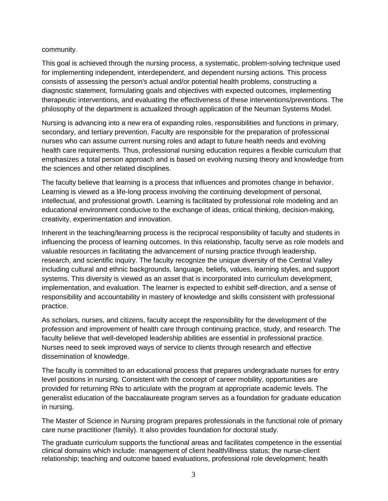#### community.

This goal is achieved through the nursing process, a systematic, problem-solving technique used for implementing independent, interdependent, and dependent nursing actions. This process consists of assessing the person's actual and/or potential health problems, constructing a diagnostic statement, formulating goals and objectives with expected outcomes, implementing therapeutic interventions, and evaluating the effectiveness of these interventions/preventions. The philosophy of the department is actualized through application of the Neuman Systems Model.

Nursing is advancing into a new era of expanding roles, responsibilities and functions in primary, secondary, and tertiary prevention. Faculty are responsible for the preparation of professional nurses who can assume current nursing roles and adapt to future health needs and evolving health care requirements. Thus, professional nursing education requires a flexible curriculum that emphasizes a total person approach and is based on evolving nursing theory and knowledge from the sciences and other related disciplines.

The faculty believe that learning is a process that influences and promotes change in behavior. Learning is viewed as a life-long process involving the continuing development of personal, intellectual, and professional growth. Learning is facilitated by professional role modeling and an educational environment conducive to the exchange of ideas, critical thinking, decision-making, creativity, experimentation and innovation.

Inherent in the teaching/learning process is the reciprocal responsibility of faculty and students in influencing the process of learning outcomes. In this relationship, faculty serve as role models and valuable resources in facilitating the advancement of nursing practice through leadership, research, and scientific inquiry. The faculty recognize the unique diversity of the Central Valley including cultural and ethnic backgrounds, language, beliefs, values, learning styles, and support systems. This diversity is viewed as an asset that is incorporated into curriculum development, implementation, and evaluation. The learner is expected to exhibit self-direction, and a sense of responsibility and accountability in mastery of knowledge and skills consistent with professional practice.

As scholars, nurses, and citizens, faculty accept the responsibility for the development of the profession and improvement of health care through continuing practice, study, and research. The faculty believe that well-developed leadership abilities are essential in professional practice. Nurses need to seek improved ways of service to clients through research and effective dissemination of knowledge.

The faculty is committed to an educational process that prepares undergraduate nurses for entry level positions in nursing. Consistent with the concept of career mobility, opportunities are provided for returning RNs to articulate with the program at appropriate academic levels. The generalist education of the baccalaureate program serves as a foundation for graduate education in nursing.

The Master of Science in Nursing program prepares professionals in the functional role of primary care nurse practitioner (family). It also provides foundation for doctoral study.

The graduate curriculum supports the functional areas and facilitates competence in the essential clinical domains which include: management of client health/illness status; the nurse-client relationship; teaching and outcome based evaluations, professional role development; health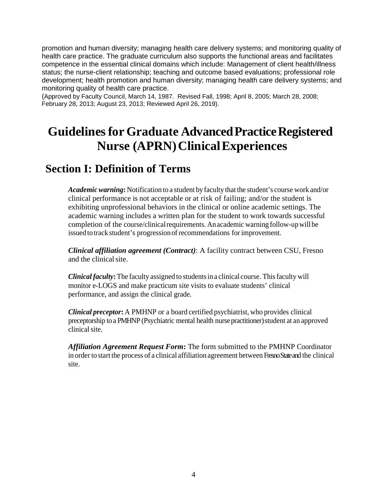promotion and human diversity; managing health care delivery systems; and monitoring quality of health care practice. The graduate curriculum also supports the functional areas and facilitates competence in the essential clinical domains which include: Management of client health/illness status; the nurse-client relationship; teaching and outcome based evaluations; professional role development; health promotion and human diversity; managing health care delivery systems; and monitoring quality of health care practice.

(Approved by Faculty Council, March 14, 1987. Revised Fall, 1998; April 8, 2005; March 28, 2008; February 28, 2013; August 23, 2013; Reviewed April 26, 2019).

# **Guidelinesfor Graduate AdvancedPracticeRegistered Nurse (APRN) Clinical Experiences**

### **Section I: Definition of Terms**

*Academic warning***:** Notification to a student by faculty that the student's course work and/or clinical performance is not acceptable or at risk of failing; and/or the student is exhibiting unprofessional behaviors in the clinical or online academic settings. The academic warning includes a written plan for the student to work towards successful completion of the course/clinical requirements. An academic warning follow-up will be issued to track student's progression of recommendations for improvement.

*Clinical affiliation agreement (Contract)*: A facility contract between CSU, Fresno and the clinical site.

*Clinical faculty***:**The faculty assigned to studentsina clinical course. Thisfaculty will monitor e-LOGS and make practicum site visits to evaluate students' clinical performance, and assign the clinical grade.

*Clinical preceptor***:** A PMHNP or a board certified psychiatrist, who provides clinical preceptorship to a PMHNP (Psychiatric mental health nurse practitioner) student at an approved clinical site.

*Affiliation Agreement Request Form***:** The form submitted to the PMHNP Coordinator in order to start the process of a clinical affiliation agreement between Fresno State and the clinical site.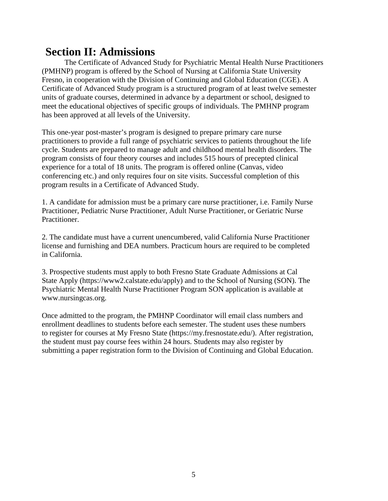### **Section II: Admissions**

The Certificate of Advanced Study for Psychiatric Mental Health Nurse Practitioners (PMHNP) program is offered by the School of Nursing at California State University Fresno, in cooperation with the Division of Continuing and Global Education (CGE). A Certificate of Advanced Study program is a structured program of at least twelve semester units of graduate courses, determined in advance by a department or school, designed to meet the educational objectives of specific groups of individuals. The PMHNP program has been approved at all levels of the University.

This one-year post-master's program is designed to prepare primary care nurse practitioners to provide a full range of psychiatric services to patients throughout the life cycle. Students are prepared to manage adult and childhood mental health disorders. The program consists of four theory courses and includes 515 hours of precepted clinical experience for a total of 18 units. The program is offered online (Canvas, video conferencing etc.) and only requires four on site visits. Successful completion of this program results in a Certificate of Advanced Study.

1. A candidate for admission must be a primary care nurse practitioner, i.e. Family Nurse Practitioner, Pediatric Nurse Practitioner, Adult Nurse Practitioner, or Geriatric Nurse Practitioner.

2. The candidate must have a current unencumbered, valid California Nurse Practitioner license and furnishing and DEA numbers. Practicum hours are required to be completed in California.

3. Prospective students must apply to both Fresno State Graduate Admissions at Cal State Apply (https://www2.calstate.edu/apply) and to the School of Nursing (SON). The Psychiatric Mental Health Nurse Practitioner Program SON application is available at www.nursingcas.org.

Once admitted to the program, the PMHNP Coordinator will email class numbers and enrollment deadlines to students before each semester. The student uses these numbers to register for courses at My Fresno State (https://my.fresnostate.edu/). After registration, the student must pay course fees within 24 hours. Students may also register by submitting a paper registration form to the Division of Continuing and Global Education.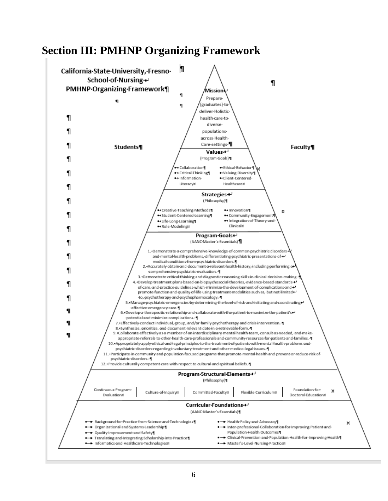### **Section III: PMHNP Organizing Framework**

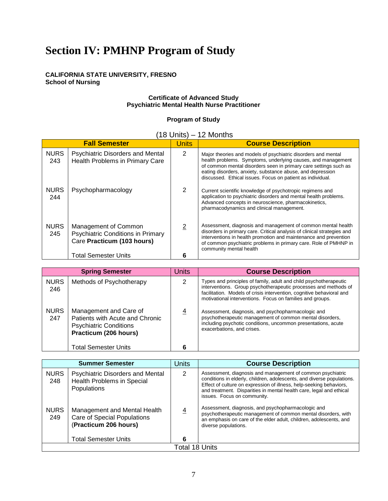# **Section IV: PMHNP Program of Study**

#### **CALIFORNIA STATE UNIVERSITY, FRESNO School of Nursing**

#### **Certificate of Advanced Study Psychiatric Mental Health Nurse Practitioner**

#### **Program of Study**

#### (18 Units) – 12 Months

| <b>Fall Semester</b> |                                                                                                | <b>Units</b>   | <b>Course Description</b>                                                                                                                                                                                                                                                                                                     |
|----------------------|------------------------------------------------------------------------------------------------|----------------|-------------------------------------------------------------------------------------------------------------------------------------------------------------------------------------------------------------------------------------------------------------------------------------------------------------------------------|
| <b>NURS</b><br>243   | <b>Psychiatric Disorders and Mental</b><br>Health Problems in Primary Care                     | $\overline{2}$ | Major theories and models of psychiatric disorders and mental<br>health problems. Symptoms, underlying causes, and management<br>of common mental disorders seen in primary care settings such as<br>eating disorders, anxiety, substance abuse, and depression<br>discussed. Ethical issues. Focus on patient as individual. |
| <b>NURS</b><br>244   | Psychopharmacology                                                                             | 2              | Current scientific knowledge of psychotropic regimens and<br>application to psychiatric disorders and mental health problems.<br>Advanced concepts in neuroscience, pharmacokinetics,<br>pharmacodynamics and clinical management.                                                                                            |
| <b>NURS</b><br>245   | Management of Common<br><b>Psychiatric Conditions in Primary</b><br>Care Practicum (103 hours) | $\overline{2}$ | Assessment, diagnosis and management of common mental health<br>disorders in primary care. Critical analysis of clinical strategies and<br>interventions in health promotion and maintenance and prevention<br>of common psychiatric problems in primary care. Role of PMHNP in<br>community mental health                    |
|                      | <b>Total Semester Units</b>                                                                    | 6              |                                                                                                                                                                                                                                                                                                                               |

| <b>Spring Semester</b> |                                                                                                                     | <b>Units</b>   | <b>Course Description</b>                                                                                                                                                                                                                                                  |
|------------------------|---------------------------------------------------------------------------------------------------------------------|----------------|----------------------------------------------------------------------------------------------------------------------------------------------------------------------------------------------------------------------------------------------------------------------------|
| <b>NURS</b><br>246     | Methods of Psychotherapy                                                                                            | 2              | Types and principles of family, adult and child psychotherapeutic<br>interventions. Group psychotherapeutic processes and methods of<br>facilitation. Models of crisis intervention, cognitive behavioral and<br>motivational interventions. Focus on families and groups. |
| <b>NURS</b><br>247     | Management and Care of<br>Patients with Acute and Chronic<br><b>Psychiatric Conditions</b><br>Practicum (206 hours) | $\overline{4}$ | Assessment, diagnosis, and psychopharmacologic and<br>psychotherapeutic management of common mental disorders,<br>including psychotic conditions, uncommon presentations, acute<br>exacerbations, and crises.                                                              |
|                        | <b>Total Semester Units</b>                                                                                         | 6              |                                                                                                                                                                                                                                                                            |

| <b>Summer Semester</b> |                                                                                      | Units          | <b>Course Description</b>                                                                                                                                                                                                                                                                                         |  |  |
|------------------------|--------------------------------------------------------------------------------------|----------------|-------------------------------------------------------------------------------------------------------------------------------------------------------------------------------------------------------------------------------------------------------------------------------------------------------------------|--|--|
| <b>NURS</b><br>248     | Psychiatric Disorders and Mental<br>Health Problems in Special<br>Populations        | $\mathcal{P}$  | Assessment, diagnosis and management of common psychiatric<br>conditions in elderly, children, adolescents, and diverse populations.<br>Effect of culture on expression of illness, help-seeking behaviors,<br>and treatment. Disparities in mental health care, legal and ethical<br>issues. Focus on community. |  |  |
| <b>NURS</b><br>249     | Management and Mental Health<br>Care of Special Populations<br>(Practicum 206 hours) | $\overline{4}$ | Assessment, diagnosis, and psychopharmacologic and<br>psychotherapeutic management of common mental disorders, with<br>an emphasis on care of the elder adult, children, adolescents, and<br>diverse populations.                                                                                                 |  |  |
|                        | <b>Total Semester Units</b>                                                          |                |                                                                                                                                                                                                                                                                                                                   |  |  |
| Total 18 Units         |                                                                                      |                |                                                                                                                                                                                                                                                                                                                   |  |  |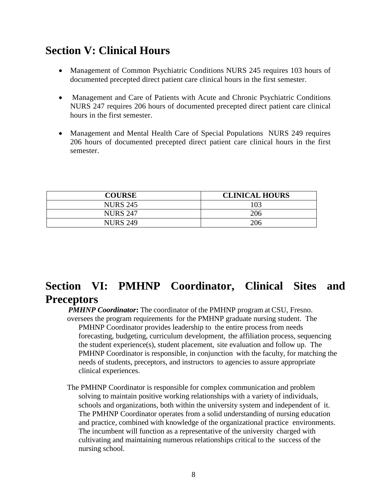# **Section V: Clinical Hours**

- Management of Common Psychiatric Conditions NURS 245 requires 103 hours of documented precepted direct patient care clinical hours in the first semester.
- Management and Care of Patients with Acute and Chronic Psychiatric Conditions NURS 247 requires 206 hours of documented precepted direct patient care clinical hours in the first semester.
- Management and Mental Health Care of Special Populations NURS 249 requires 206 hours of documented precepted direct patient care clinical hours in the first semester.

| <b>COURSE</b>   | <b>CLINICAL HOURS</b> |
|-----------------|-----------------------|
| <b>NURS 245</b> | 103                   |
| <b>NURS 247</b> | 206                   |
| <b>NURS 249</b> | 206                   |

# **Section VI: PMHNP Coordinator, Clinical Sites and Preceptors**

*PMHNP Coordinator***:** The coordinator of the PMHNP program at CSU, Fresno. oversees the program requirements for the PMHNP graduate nursing student. The PMHNP Coordinator provides leadership to the entire process from needs forecasting, budgeting, curriculum development, the affiliation process, sequencing the student experience(s), student placement, site evaluation and follow up. The PMHNP Coordinator is responsible, in conjunction with the faculty, for matching the needs of students, preceptors, and instructors to agencies to assure appropriate clinical experiences.

The PMHNP Coordinator is responsible for complex communication and problem solving to maintain positive working relationships with a variety of individuals, schools and organizations, both within the university system and independent of it. The PMHNP Coordinator operates from a solid understanding of nursing education and practice, combined with knowledge of the organizational practice environments. The incumbent will function as a representative of the university charged with cultivating and maintaining numerous relationships critical to the success of the nursing school.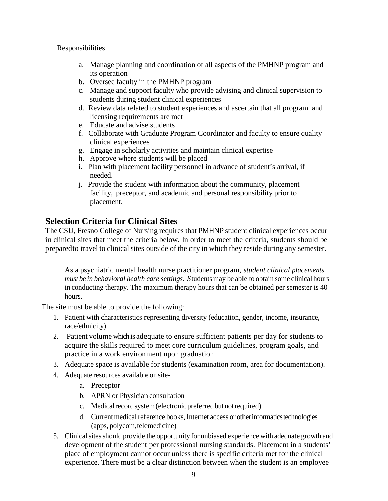#### Responsibilities

- a. Manage planning and coordination of all aspects of the PMHNP program and its operation
- b. Oversee faculty in the PMHNP program
- c. Manage and support faculty who provide advising and clinical supervision to students during student clinical experiences
- d. Review data related to student experiences and ascertain that all program and licensing requirements are met
- e. Educate and advise students
- f. Collaborate with Graduate Program Coordinator and faculty to ensure quality clinical experiences
- g. Engage in scholarly activities and maintain clinical expertise
- h. Approve where students will be placed
- i. Plan with placement facility personnel in advance of student's arrival, if needed.
- j. Provide the student with information about the community, placement facility, preceptor, and academic and personal responsibility prior to placement.

#### **Selection Criteria for Clinical Sites**

The CSU, Fresno College of Nursing requires that PMHNP student clinical experiences occur in clinical sites that meet the criteria below. In order to meet the criteria, students should be preparedto travel to clinical sites outside of the city in which they reside during any semester.

As a psychiatric mental health nurse practitioner program, *student clinical placements must be in behavioral health care settings. S*tudentsmay be able to obtain some clinical hours in conducting therapy. The maximum therapy hours that can be obtained per semester is 40 hours.

The site must be able to provide the following:

- 1. Patient with characteristics representing diversity (education, gender, income, insurance, race/ethnicity).
- 2. Patient volume which is adequate to ensure sufficient patients per day for students to acquire the skills required to meet core curriculum guidelines, program goals, and practice in a work environment upon graduation.
- 3. Adequate space is available for students (examination room, area for documentation).
- 4. Adequate resources available on site
	- a. Preceptor
	- b. APRN or Physician consultation
	- c. Medical record system (electronic preferred but not required)
	- d. Current medical reference books, Internet access or other informatics technologies (apps, polycom,telemedicine)
- 5. Clinical sites should provide the opportunity for unbiased experience with adequate growth and development of the student per professional nursing standards. Placement in a students' place of employment cannot occur unless there is specific criteria met for the clinical experience. There must be a clear distinction between when the student is an employee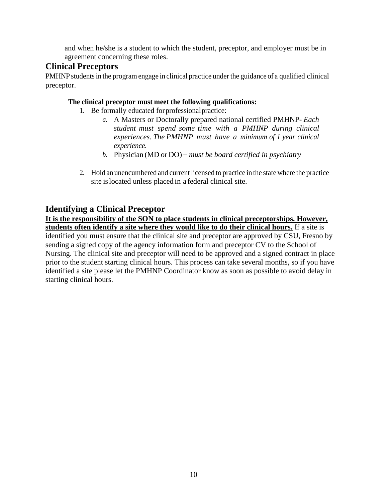and when he/she is a student to which the student, preceptor, and employer must be in agreement concerning these roles.

#### **Clinical Preceptors**

PMHNP students in the program engage in clinical practice under the guidance of a qualified clinical preceptor.

#### **The clinical preceptor must meet the following qualifications:**

- 1. Be formally educated forprofessionalpractice:
	- *a.* A Masters or Doctorally prepared national certified PMHNP- *Each student must spend some time with a PMHNP during clinical experiences. The PMHNP must have a minimum of 1 year clinical experience.*
	- *b.* Physician (MD or DO) *must be board certified in psychiatry*
- 2. Hold an unencumbered and current licensed to practice in the state where the practice site islocated unless placed in a federal clinical site.

#### **Identifying a Clinical Preceptor**

**It is the responsibility of the SON to place students in clinical preceptorships. However, students often identify a site where they would like to do their clinical hours.** If a site is identified you must ensure that the clinical site and preceptor are approved by CSU, Fresno by sending a signed copy of the agency information form and preceptor CV to the School of Nursing. The clinical site and preceptor will need to be approved and a signed contract in place prior to the student starting clinical hours. This process can take several months, so if you have identified a site please let the PMHNP Coordinator know as soon as possible to avoid delay in starting clinical hours.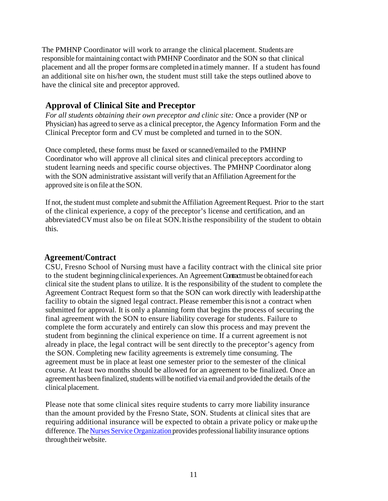The PMHNP Coordinator will work to arrange the clinical placement. Students are responsible for maintaining contact with PMHNP Coordinator and the SON so that clinical placement and all the proper forms are completed ina timely manner. If a student hasfound an additional site on his/her own, the student must still take the steps outlined above to have the clinical site and preceptor approved.

### **Approval of Clinical Site and Preceptor**

*For all students obtaining their own preceptor and clinic site:* Once a provider (NP or Physician) has agreed to serve as a clinical preceptor, the Agency Information Form and the Clinical Preceptor form and CV must be completed and turned in to the SON.

Once completed, these forms must be faxed or scanned/emailed to the PMHNP Coordinator who will approve all clinical sites and clinical preceptors according to student learning needs and specific course objectives. The PMHNP Coordinator along with the SON administrative assistant will verify that an Affiliation Agreement for the approved site is on file at the SON.

If not, the student must complete and submit the Affiliation AgreementRequest. Prior to the start of the clinical experience, a copy of the preceptor's license and certification, and an abbreviatedCVmust also be on file at SON.Itisthe responsibility of the student to obtain this.

#### **Agreement/Contract**

CSU, Fresno School of Nursing must have a facility contract with the clinical site prior to the student beginning clinical experiences. An Agreement Contract must be obtained for each clinical site the student plans to utilize. It is the responsibility of the student to complete the Agreement Contract Request form so that the SON can work directly with leadershipatthe facility to obtain the signed legal contract. Please remember this is not a contract when submitted for approval. It is only a planning form that begins the process of securing the final agreement with the SON to ensure liability coverage for students. Failure to complete the form accurately and entirely can slow this process and may prevent the student from beginning the clinical experience on time. If a current agreement is not already in place, the legal contract will be sent directly to the preceptor's agency from the SON. Completing new facility agreements is extremely time consuming. The agreement must be in place at least one semester prior to the semester of the clinical course. At least two months should be allowed for an agreement to be finalized. Once an agreement has been finalized, students will be notified via email and provided the details of the clinical placement.

Please note that some clinical sites require students to carry more liability insurance than the amount provided by the Fresno State, SON. Students at clinical sites that are requiring additional insurance will be expected to obtain a private policy or make up the difference. The Nurses Service Organization provides professional liability insurance options through their website.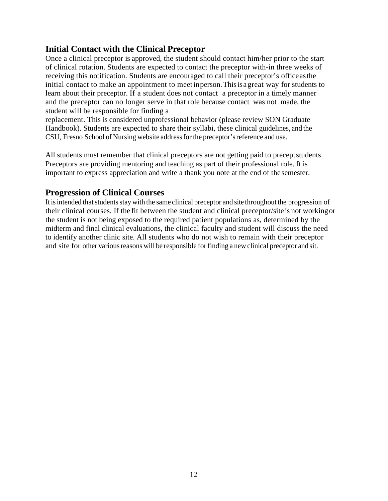#### **Initial Contact with the Clinical Preceptor**

Once a clinical preceptor is approved, the student should contact him/her prior to the start of clinical rotation. Students are expected to contact the preceptor with-in three weeks of receiving this notification. Students are encouraged to call their preceptor's officeasthe initial contact to make an appointment to meet inperson.Thisisa great way for students to learn about their preceptor. If a student does not contact a preceptor in a timely manner and the preceptor can no longer serve in that role because contact was not made, the student will be responsible for finding a

replacement. This is considered unprofessional behavior (please review SON Graduate Handbook). Students are expected to share their syllabi, these clinical guidelines, and the CSU, Fresno School of Nursing website addressfor the preceptor'sreference and use.

All students must remember that clinical preceptors are not getting paid to preceptstudents. Preceptors are providing mentoring and teaching as part of their professional role. It is important to express appreciation and write a thank you note at the end of the semester.

#### **Progression of Clinical Courses**

It is intended that students stay with the same clinical preceptor and site throughout the progression of their clinical courses. If the fit between the student and clinical preceptor/site is not workingor the student is not being exposed to the required patient populations as, determined by the midterm and final clinical evaluations, the clinical faculty and student will discuss the need to identify another clinic site. All students who do not wish to remain with their preceptor and site for other various reasons will be responsible for finding a new clinical preceptor and sit.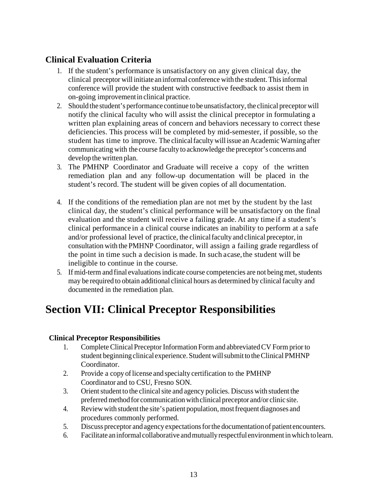### **Clinical Evaluation Criteria**

- 1. If the student's performance is unsatisfactory on any given clinical day, the clinical preceptor will initiate an informal conference with the student.Thisinformal conference will provide the student with constructive feedback to assist them in on-going improvementin clinical practice.
- 2. Should the student's performance continue tobe unsatisfactory, the clinical preceptor will notify the clinical faculty who will assist the clinical preceptor in formulating a written plan explaining areas of concern and behaviors necessary to correct these deficiencies. This process will be completed by mid-semester, if possible, so the student has time to improve. The clinical faculty will issue an Academic Warning after communicating with the course faculty to acknowledge the preceptor's concerns and develop the written plan.
- 3. The PMHNP Coordinator and Graduate will receive a copy of the written remediation plan and any follow-up documentation will be placed in the student's record. The student will be given copies of all documentation.
- 4. If the conditions of the remediation plan are not met by the student by the last clinical day, the student's clinical performance will be unsatisfactory on the final evaluation and the student will receive a failing grade. At any time if a student's clinical performance in a clinical course indicates an inability to perform at a safe and/or professional level of practice, the clinicalfaculty and clinical preceptor, in consultation with the PMHNP Coordinator, will assign a failing grade regardless of the point in time such a decision is made. In such a case, the student will be ineligible to continue in the course.
- 5. If mid-term and final evaluations indicate course competencies are not being met, students may be required to obtain additional clinical hours as determined by clinical faculty and documented in the remediation plan.

# **Section VII: Clinical Preceptor Responsibilities**

#### **Clinical Preceptor Responsibilities**

- 1. CompleteClinical Preceptor Information Form and abbreviatedCV Form prior to student beginning clinical experience. Student will submit to the Clinical PMHNP Coordinator.
- 2. Provide a copy of license and specialty certification to the PMHNP Coordinator and to CSU, Fresno SON.
- 3. Orient student to the clinical site and agency policies. Discuss with student the preferred method for communication with clinical preceptor and/or clinic site.
- 4. Reviewwith student the site's patient population, mostfrequent diagnoses and procedures commonly performed.
- 5. Discuss preceptor and agency expectationsforthe documentationof patient encounters.
- 6. Facilitate aninformal collaborative andmutuallyrespectful environmentinwhich tolearn.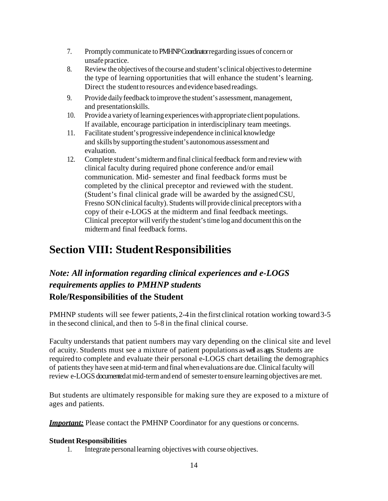- 7. Promptlycommunicate to PMHNP Coordinatorregarding issues of concern or unsafe practice.
- 8. Review the objectives of the course and student's clinical objectivesto determine the type of learning opportunities that will enhance the student's learning. Direct the studentto resources and evidence basedreadings.
- 9. Provide daily feedback to improve the student's assessment, management, and presentationskills.
- 10. Provide a variety of learning experiences with appropriate client populations. If available, encourage participation in interdisciplinary team meetings.
- 11. Facilitate student's progressive independence inclinical knowledge and skills by supporting the student's autonomous assessment and evaluation.
- 12. Complete student's midterm and final clinical feedback form and review with clinical faculty during required phone conference and/or email communication. Mid- semester and final feedback forms must be completed by the clinical preceptor and reviewed with the student. (Student's final clinical grade will be awarded by the assignedCSU, Fresno SON clinical faculty). Students will provide clinical preceptors with a copy of their e-LOGS at the midterm and final feedback meetings. Clinical preceptor will verify the student'stime log and document this on the midterm and final feedback forms.

## **Section VIII: StudentResponsibilities**

### *Note: All information regarding clinical experiences and e-LOGS requirements applies to PMHNP students* **Role/Responsibilities of the Student**

PMHNP students will see fewer patients, 2-4in the first clinical rotation working toward3-5 in the second clinical, and then to 5-8 in the final clinical course.

Faculty understands that patient numbers may vary depending on the clinical site and level of acuity. Students must see a mixture of patient populations aswell as ages. Students are required to complete and evaluate their personal e-LOGS chart detailing the demographics of patients they have seen at mid-term and final when evaluations are due. Clinical faculty will review e-LOGS documented at mid-term and end of semester to ensure learning objectives are met.

But students are ultimately responsible for making sure they are exposed to a mixture of ages and patients.

*Important:* Please contact the PMHNP Coordinator for any questions or concerns.

#### **Student Responsibilities**

1. Integrate personallearning objectives with course objectives.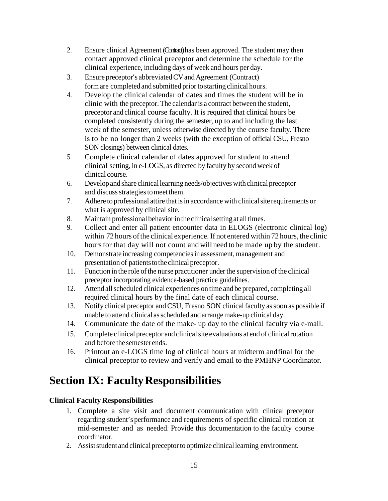- 2. Ensure clinical Agreement (Contract) has been approved. The student may then contact approved clinical preceptor and determine the schedule for the clinical experience, including days of week and hours per day.
- 3. Ensure preceptor's abbreviatedCVandAgreement (Contract) form are completed and submitted prior to starting clinical hours.
- 4. Develop the clinical calendar of dates and times the student will be in clinic with the preceptor. The calendaris a contract between the student, preceptor and clinical course faculty. It is required that clinical hours be completed consistently during the semester, up to and including the last week of the semester, unless otherwise directed by the course faculty. There is to be no longer than 2 weeks (with the exception of official CSU, Fresno SON closings) between clinical dates.
- 5. Complete clinical calendar of dates approved for student to attend clinical setting, in e-LOGS, as directed by faculty by second week of clinical course.
- 6. Developand share clinicallearning needs/objectives withclinicalpreceptor and discuss strategies to meet them.
- 7. Adhere to professional attire that isin accordance with clinicalsite requirements or what is approved by clinical site.
- 8. Maintain professional behavior in the clinical setting at all times.
- 9. Collect and enter all patient encounter data in ELOGS (electronic clinical log) within 72 hours of the clinical experience. If not entered within 72 hours, the clinic hours for that day will not count and will need to be made up by the student.
- 10. Demonstrate increasing competenciesin assessment, management and presentation of patients to the clinical preceptor.
- 11. Function in the role of the nurse practitioner under the supervision of the clinical preceptor incorporating evidence-based practice guidelines.
- 12. Attend allscheduled clinical experiences on time and be prepared, completing all required clinical hours by the final date of each clinical course.
- 13. Notify clinical preceptor andCSU, Fresno SON clinicalfaculty assoon as possible if unable to attend clinical asscheduled andarrangemake-up clinical day.
- 14. Communicate the date of the make- up day to the clinical faculty via e-mail.
- 15. Complete clinical preceptor and clinical site evaluations at end of clinical rotation and before the semesterends.
- 16. Printout an e-LOGS time log of clinical hours at midterm andfinal for the clinical preceptor to review and verify and email to the PMHNP Coordinator.

# **Section IX: FacultyResponsibilities**

#### **Clinical Faculty Responsibilities**

- 1. Complete a site visit and document communication with clinical preceptor regarding student's performance and requirements of specific clinical rotation at mid-semester and as needed. Provide this documentation to the faculty course coordinator.
- 2. Assist student and clinical preceptor to optimize clinical learning environment.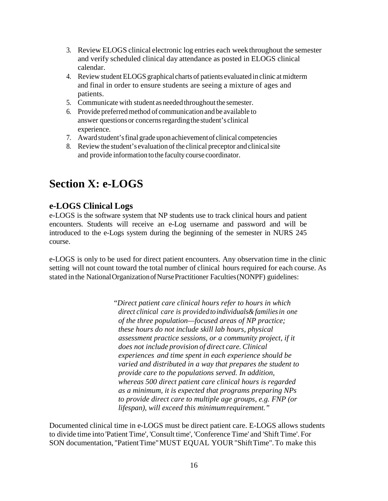- 3. Review ELOGS clinical electronic log entries each weekthroughout the semester and verify scheduled clinical day attendance as posted in ELOGS clinical calendar.
- 4. Review student ELOGS graphical charts of patients evaluated in clinic atmidterm and final in order to ensure students are seeing a mixture of ages and patients.
- 5. Communicate with student as needed throughout the semester.
- 6. Provide preferredmethod of communication and be available to answer questions or concerns regarding the student's clinical experience.
- 7. Awardstudent'sfinal grade uponachievementof clinical competencies
- 8. Review the student's evaluation of the clinical preceptor and clinical site and provide information tothe faculty course coordinator.

### **Section X: e-LOGS**

#### **e-LOGS Clinical Logs**

e-LOGS is the software system that NP students use to track clinical hours and patient encounters. Students will receive an e-Log username and password and will be introduced to the e-Logs system during the beginning of the semester in NURS 245 course.

e-LOGS is only to be used for direct patient encounters. Any observation time in the clinic setting will not count toward the total number of clinical hours required for each course. As stated in the National Organization of Nurse Practitioner Faculties (NONPF) guidelines:

> "*Direct patient care clinical hours refer to hours in which direct clinical care is provided toindividuals&familiesin one of the three population—focused areas of NP practice; these hours do not include skill lab hours, physical assessment practice sessions, or a community project, if it does not include provision of direct care. Clinical experiences and time spent in each experience should be varied and distributed in a way that prepares the student to provide care to the populations served. In addition, whereas 500 direct patient care clinical hours is regarded as a minimum, it is expected that programs preparing NPs to provide direct care to multiple age groups, e.g. FNP (or lifespan), will exceed this minimumrequirement."*

Documented clinical time in e-LOGS must be direct patient care. E-LOGS allows students to divide time into 'Patient Time', 'Consult time', 'Conference Time' and 'Shift Time'. For SON documentation, "PatientTime"MUST EQUAL YOUR"ShiftTime".To make this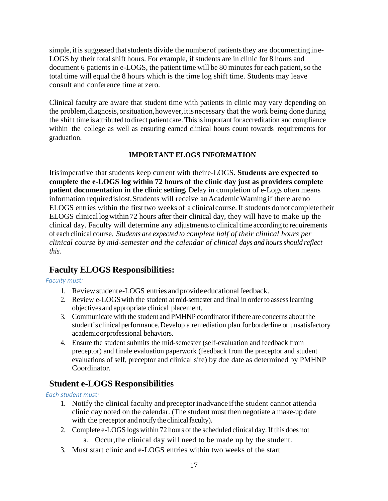simple, it is suggested that students divide the number of patients they are documenting ine-LOGS by their total shift hours. For example, if students are in clinic for 8 hours and document 6 patients in e-LOGS, the patient time will be 80 minutes for each patient, so the total time will equal the 8 hours which is the time log shift time. Students may leave consult and conference time at zero.

Clinical faculty are aware that student time with patients in clinic may vary depending on the problem,diagnosis,orsituation,however,itisnecessary that the work being done during the shift time is attributed to direct patient care. This is important for accreditation and compliance within the college as well as ensuring earned clinical hours count towards requirements for graduation.

#### **IMPORTANT ELOGS INFORMATION**

Itisimperative that students keep current with theire-LOGS. **Students are expected to complete the e-LOGS log within 72 hours of the clinic day just as providers complete patient documentation in the clinic setting.** Delay in completion of e-Logs often means information required is lost. Students will receive an Academic Warning if there are no ELOGS entries within the first two weeks of a clinical course.If students donot complete their ELOGS clinical logwithin72 hours after their clinical day, they will have to make up the clinical day. Faculty will determine any adjustments to clinical time according to requirements of each clinical course. *Students are expected to complete half of their clinical hours per clinical course by mid-semester and the calendar of clinical days and hoursshould reflect this.*

#### **Faculty ELOGS Responsibilities:**

#### *Faculty must:*

- 1. Review student e-LOGS entries and provide educational feedback.
- 2. Review e-LOGS with the student at mid-semester and final in order to assess learning objectives and appropriate clinical placement.
- 3. Communicate with the student and PMHNP coordinatorifthere are concerns about the student's clinical performance.Develop a remediation plan for borderline or unsatisfactory academicorprofessional behaviors.
- 4. Ensure the student submits the mid-semester (self-evaluation and feedback from preceptor) and finale evaluation paperwork (feedback from the preceptor and student evaluations of self, preceptor and clinical site) by due date as determined by PMHNP Coordinator.

#### **Student e-LOGS Responsibilities**

#### *Each student must:*

- 1. Notify the clinical faculty and preceptorinadvance ifthe student cannot attend a clinic day noted on the calendar. (The student must then negotiate a make-up date with the preceptor and notify the clinical faculty).
- 2. Complete e-LOGS logs within 72 hours of the scheduled clinical day.If this does not
	- a. Occur,the clinical day will need to be made up by the student.
- 3. Must start clinic and e-LOGS entries within two weeks of the start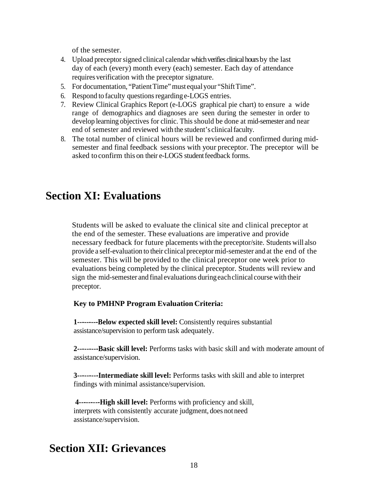of the semester.

- 4. Upload preceptorsigned clinical calendar which verifies clinical hours by the last day of each (every) month every (each) semester. Each day of attendance requires verification with the preceptor signature.
- 5. For documentation, "Patient Time" must equal your "Shift Time".
- 6. Respond to faculty questionsregarding e-LOGS entries.
- 7. Review Clinical Graphics Report (e-LOGS graphical pie chart) to ensure a wide range of demographics and diagnoses are seen during the semester in order to develop learning objectives for clinic. This should be done at mid-semester and near end of semester and reviewed with the student's clinicalfaculty.
- 8. The total number of clinical hours will be reviewed and confirmed during midsemester and final feedback sessions with your preceptor. The preceptor will be asked to confirm this on their e-LOGS student feedback forms.

### **Section XI: Evaluations**

Students will be asked to evaluate the clinical site and clinical preceptor at the end of the semester. These evaluations are imperative and provide necessary feedback for future placements with the preceptor/site. Students will also provide a self-evaluation to their clinical preceptor mid-semester and at the end of the semester. This will be provided to the clinical preceptor one week prior to evaluations being completed by the clinical preceptor. Students will review and sign the mid-semester and final evaluations duringeachclinical course with their preceptor.

#### **Key to PMHNP Program Evaluation Criteria:**

**1---------Below expected skill level:** Consistently requires substantial assistance/supervision to perform task adequately.

**2---------Basic skill level:** Performs tasks with basic skill and with moderate amount of assistance/supervision.

**3---------Intermediate skill level:** Performs tasks with skill and able to interpret findings with minimal assistance/supervision.

**4---------High skill level:** Performs with proficiency and skill, interprets with consistently accurate judgment, does notneed assistance/supervision.

### **Section XII: Grievances**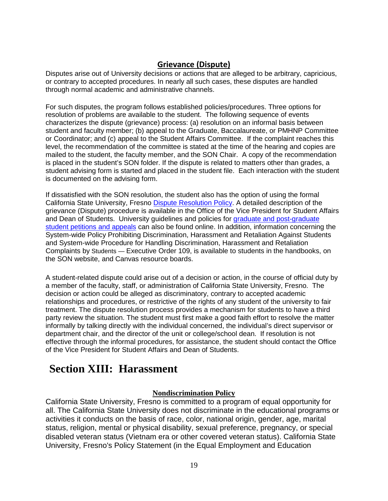#### **Grievance (Dispute)**

Disputes arise out of University decisions or actions that are alleged to be arbitrary, capricious, or contrary to accepted procedures. In nearly all such cases, these disputes are handled through normal academic and administrative channels.

For such disputes, the program follows established policies/procedures. Three options for resolution of problems are available to the student. The following sequence of events characterizes the dispute (grievance) process: (a) resolution on an informal basis between student and faculty member; (b) appeal to the Graduate, Baccalaureate, or PMHNP Committee or Coordinator; and (c) appeal to the Student Affairs Committee. If the complaint reaches this level, the recommendation of the committee is stated at the time of the hearing and copies are mailed to the student, the faculty member, and the SON Chair. A copy of the recommendation is placed in the student's SON folder. If the dispute is related to matters other than grades, a student advising form is started and placed in the student file. Each interaction with the student is documented on the advising form.

If dissatisfied with the SON resolution, the student also has the option of using the formal California State University, Fresno [Dispute Resolution Policy.](http://www.fresnostate.edu/academics/facultyaffairs/documents/apm/415.pdf) A detailed description of the grievance (Dispute) procedure is available in the Office of the Vice President for Student Affairs and Dean of Students. University guidelines and policies for [graduate and post-graduate](http://www.fresnostate.edu/academics/aps/documents/apm/247.pdf)  [student petitions and appeals](http://www.fresnostate.edu/academics/aps/documents/apm/247.pdf) can also be found online. In addition, information concerning the System-wide Policy Prohibiting Discrimination, Harassment and Retaliation Against Students and System-wide Procedure for Handling Discrimination, Harassment and Retaliation Complaints by Students — Executive Order 109, is available to students in the handbooks, on the SON website, and Canvas resource boards.

A student-related dispute could arise out of a decision or action, in the course of official duty by a member of the faculty, staff, or administration of California State University, Fresno. The decision or action could be alleged as discriminatory, contrary to accepted academic relationships and procedures, or restrictive of the rights of any student of the university to fair treatment. The dispute resolution process provides a mechanism for students to have a third party review the situation. The student must first make a good faith effort to resolve the matter informally by talking directly with the individual concerned, the individual's direct supervisor or department chair, and the director of the unit or college/school dean. If resolution is not effective through the informal procedures, for assistance, the student should contact the Office of the Vice President for Student Affairs and Dean of Students.

### **Section XIII: Harassment**

#### **Nondiscrimination Policy**

California State University, Fresno is committed to a program of equal opportunity for all. The California State University does not discriminate in the educational programs or activities it conducts on the basis of race, color, national origin, gender, age, marital status, religion, mental or physical disability, sexual preference, pregnancy, or special disabled veteran status (Vietnam era or other covered veteran status). California State University, Fresno's Policy Statement (in the Equal Employment and Education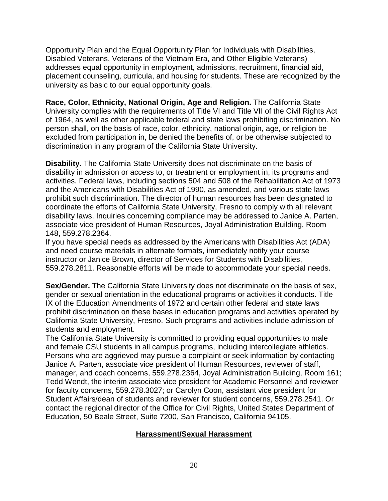Opportunity Plan and the Equal Opportunity Plan for Individuals with Disabilities, Disabled Veterans, Veterans of the Vietnam Era, and Other Eligible Veterans) addresses equal opportunity in employment, admissions, recruitment, financial aid, placement counseling, curricula, and housing for students. These are recognized by the university as basic to our equal opportunity goals.

**Race, Color, Ethnicity, National Origin, Age and Religion.** The California State University complies with the requirements of Title VI and Title VII of the Civil Rights Act of 1964, as well as other applicable federal and state laws prohibiting discrimination. No person shall, on the basis of race, color, ethnicity, national origin, age, or religion be excluded from participation in, be denied the benefits of, or be otherwise subjected to discrimination in any program of the California State University.

**Disability.** The California State University does not discriminate on the basis of disability in admission or access to, or treatment or employment in, its programs and activities. Federal laws, including sections 504 and 508 of the Rehabilitation Act of 1973 and the Americans with Disabilities Act of 1990, as amended, and various state laws prohibit such discrimination. The director of human resources has been designated to coordinate the efforts of California State University, Fresno to comply with all relevant disability laws. Inquiries concerning compliance may be addressed to Janice A. Parten, associate vice president of Human Resources, Joyal Administration Building, Room 148, 559.278.2364.

If you have special needs as addressed by the Americans with Disabilities Act (ADA) and need course materials in alternate formats, immediately notify your course instructor or Janice Brown, director of Services for Students with Disabilities, 559.278.2811. Reasonable efforts will be made to accommodate your special needs.

**Sex/Gender.** The California State University does not discriminate on the basis of sex, gender or sexual orientation in the educational programs or activities it conducts. Title IX of the Education Amendments of 1972 and certain other federal and state laws prohibit discrimination on these bases in education programs and activities operated by California State University, Fresno. Such programs and activities include admission of students and employment.

The California State University is committed to providing equal opportunities to male and female CSU students in all campus programs, including intercollegiate athletics. Persons who are aggrieved may pursue a complaint or seek information by contacting Janice A. Parten, associate vice president of Human Resources, reviewer of staff, manager, and coach concerns, 559.278.2364, Joyal Administration Building, Room 161; Tedd Wendt, the interim associate vice president for Academic Personnel and reviewer for faculty concerns, 559.278.3027; or Carolyn Coon, assistant vice president for Student Affairs/dean of students and reviewer for student concerns, 559.278.2541. Or contact the regional director of the Office for Civil Rights, United States Department of Education, 50 Beale Street, Suite 7200, San Francisco, California 94105.

#### **Harassment/Sexual Harassment**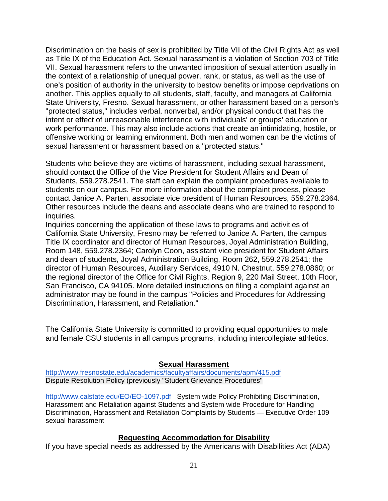Discrimination on the basis of sex is prohibited by Title VII of the Civil Rights Act as well as Title IX of the Education Act. Sexual harassment is a violation of Section 703 of Title VII. Sexual harassment refers to the unwanted imposition of sexual attention usually in the context of a relationship of unequal power, rank, or status, as well as the use of one's position of authority in the university to bestow benefits or impose deprivations on another. This applies equally to all students, staff, faculty, and managers at California State University, Fresno. Sexual harassment, or other harassment based on a person's "protected status," includes verbal, nonverbal, and/or physical conduct that has the intent or effect of unreasonable interference with individuals' or groups' education or work performance. This may also include actions that create an intimidating, hostile, or offensive working or learning environment. Both men and women can be the victims of sexual harassment or harassment based on a "protected status."

Students who believe they are victims of harassment, including sexual harassment, should contact the Office of the Vice President for Student Affairs and Dean of Students, 559.278.2541. The staff can explain the complaint procedures available to students on our campus. For more information about the complaint process, please contact Janice A. Parten, associate vice president of Human Resources, 559.278.2364. Other resources include the deans and associate deans who are trained to respond to inquiries.

Inquiries concerning the application of these laws to programs and activities of California State University, Fresno may be referred to Janice A. Parten, the campus Title IX coordinator and director of Human Resources, Joyal Administration Building, Room 148, 559.278.2364; Carolyn Coon, assistant vice president for Student Affairs and dean of students, Joyal Administration Building, Room 262, 559.278.2541; the director of Human Resources, Auxiliary Services, 4910 N. Chestnut, 559.278.0860; or the regional director of the Office for Civil Rights, Region 9, 220 Mail Street, 10th Floor, San Francisco, CA 94105. More detailed instructions on filing a complaint against an administrator may be found in the campus "Policies and Procedures for Addressing Discrimination, Harassment, and Retaliation."

The California State University is committed to providing equal opportunities to male and female CSU students in all campus programs, including intercollegiate athletics.

#### **Sexual Harassment**

<http://www.fresnostate.edu/academics/facultyaffairs/documents/apm/415.pdf> Dispute Resolution Policy (previously "Student Grievance Procedures"

<http://www.calstate.edu/EO/EO-1097.pdf> System wide Policy Prohibiting Discrimination, Harassment and Retaliation against Students and System wide Procedure for Handling Discrimination, Harassment and Retaliation Complaints by Students — Executive Order 109 sexual harassment

#### **Requesting Accommodation for Disability**

If you have special needs as addressed by the Americans with Disabilities Act (ADA)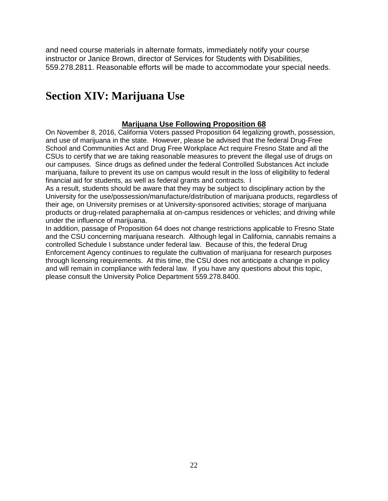and need course materials in alternate formats, immediately notify your course instructor or Janice Brown, director of Services for Students with Disabilities, 559.278.2811. Reasonable efforts will be made to accommodate your special needs.

### **Section XIV: Marijuana Use**

#### **Marijuana Use Following Proposition 68**

On November 8, 2016, California Voters passed Proposition 64 legalizing growth, possession, and use of marijuana in the state. However, please be advised that the federal Drug-Free School and Communities Act and Drug Free Workplace Act require Fresno State and all the CSUs to certify that we are taking reasonable measures to prevent the illegal use of drugs on our campuses. Since drugs as defined under the federal Controlled Substances Act include marijuana, failure to prevent its use on campus would result in the loss of eligibility to federal financial aid for students, as well as federal grants and contracts. I

As a result, students should be aware that they may be subject to disciplinary action by the University for the use/possession/manufacture/distribution of marijuana products, regardless of their age, on University premises or at University-sponsored activities; storage of marijuana products or drug-related paraphernalia at on-campus residences or vehicles; and driving while under the influence of marijuana.

In addition, passage of Proposition 64 does not change restrictions applicable to Fresno State and the CSU concerning marijuana research. Although legal in California, cannabis remains a controlled Schedule I substance under federal law. Because of this, the federal Drug Enforcement Agency continues to regulate the cultivation of marijuana for research purposes through licensing requirements. At this time, the CSU does not anticipate a change in policy and will remain in compliance with federal law. If you have any questions about this topic, please consult the University Police Department 559.278.8400.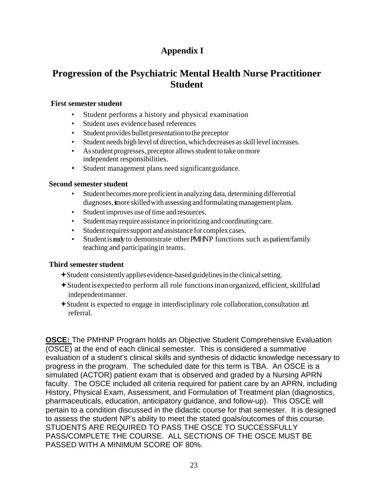### **Appendix I**

### **Progression of the Psychiatric Mental Health Nurse Practitioner Student**

#### **First semester student**

- Student performs a history and physical examination
- Student uses evidence based references
- Student provides bullet presentation to the preceptor
- Student needs high level of direction, which decreases as skill level increases.
- Asstudent progresses, preceptor allowsstudent to take onmore independent responsibilities.
- Student management plans need significant guidance.

#### **Second semester student**

- Student becomes more proficient in analyzing data, determining differential diagnoses, imore skilled with assessing and formulating management plans.
- Student improves use of time and resources.
- Student may require assistance in prioritizing and coordinating care.
- Student requires support and assistance for complex cases.
- Student is ready to demonstrate other PMHNP functions such as patient/family teaching and participatingin teams.

#### **Third semester student**

- $\triangle$ Student consistently applies evidence-based guidelines in the clinical setting.
- Studentisexpectedto perform all role functionsinanorganized, efficient,skillfuland independentmanner.
- Student is expected to engage in interdisciplinary role collaboration,consultation and referral.

**OSCE:** The PMHNP Program holds an Objective Student Comprehensive Evaluation (OSCE) at the end of each clinical semester. This is considered a summative evaluation of a student's clinical skills and synthesis of didactic knowledge necessary to progress in the program. The scheduled date for this term is TBA. An OSCE is a simulated (ACTOR) patient exam that is observed and graded by a Nursing APRN faculty. The OSCE included all criteria required for patient care by an APRN, including History, Physical Exam, Assessment, and Formulation of Treatment plan (diagnostics, pharmaceuticals, education, anticipatory guidance, and follow-up). This OSCE will pertain to a condition discussed in the didactic course for that semester. It is designed to assess the student NP's ability to meet the stated goals/outcomes of this course. STUDENTS ARE REQUIRED TO PASS THE OSCE TO SUCCESSFULLY PASS/COMPLETE THE COURSE. ALL SECTIONS OF THE OSCE MUST BE PASSED WITH A MINIMUM SCORE OF 80%.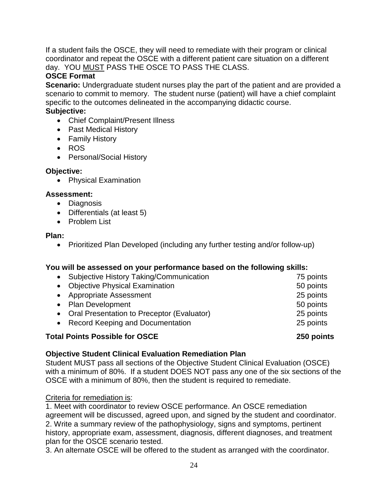If a student fails the OSCE, they will need to remediate with their program or clinical coordinator and repeat the OSCE with a different patient care situation on a different day. YOU MUST PASS THE OSCE TO PASS THE CLASS.

#### **OSCE Format**

**Scenario:** Undergraduate student nurses play the part of the patient and are provided a scenario to commit to memory. The student nurse (patient) will have a chief complaint specific to the outcomes delineated in the accompanying didactic course.

#### **Subjective:**

- Chief Complaint/Present Illness
- Past Medical History
- Family History
- ROS
- Personal/Social History

#### **Objective:**

• Physical Examination

#### **Assessment:**

- Diagnosis
- Differentials (at least 5)
- Problem List

#### **Plan:**

• Prioritized Plan Developed (including any further testing and/or follow-up)

#### **You will be assessed on your performance based on the following skills:**

| <b>Total Points Possible for OSCE</b>        | 250 points |
|----------------------------------------------|------------|
| • Record Keeping and Documentation           | 25 points  |
| • Oral Presentation to Preceptor (Evaluator) | 25 points  |
| • Plan Development                           | 50 points  |
| • Appropriate Assessment                     | 25 points  |
| • Objective Physical Examination             | 50 points  |
| • Subjective History Taking/Communication    | 75 points  |

#### **Objective Student Clinical Evaluation Remediation Plan**

Student MUST pass all sections of the Objective Student Clinical Evaluation (OSCE) with a minimum of 80%. If a student DOES NOT pass any one of the six sections of the OSCE with a minimum of 80%, then the student is required to remediate.

#### Criteria for remediation is:

1. Meet with coordinator to review OSCE performance. An OSCE remediation agreement will be discussed, agreed upon, and signed by the student and coordinator. 2. Write a summary review of the pathophysiology, signs and symptoms, pertinent history, appropriate exam, assessment, diagnosis, different diagnoses, and treatment plan for the OSCE scenario tested.

3. An alternate OSCE will be offered to the student as arranged with the coordinator.